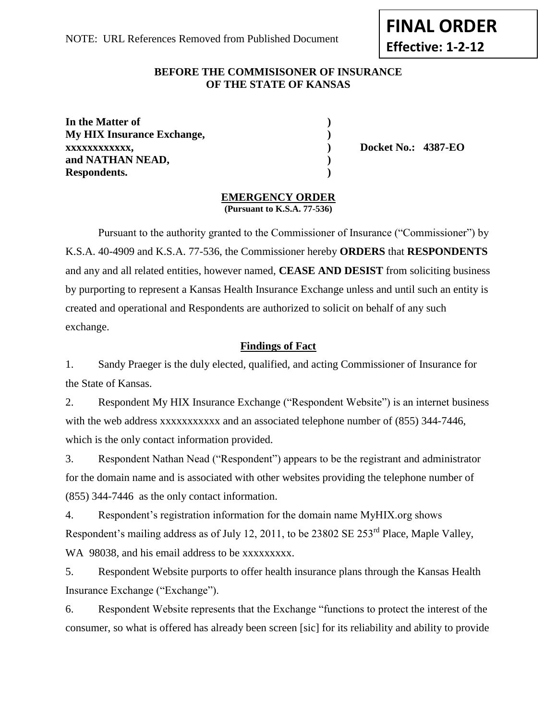**FINAL ORDER**

**Effective: 1-2-12**

## **BEFORE THE COMMISISONER OF INSURANCE OF THE STATE OF KANSAS**

**In the Matter of ) My HIX Insurance Exchange, ) xxxxxxxxxxxx, ) Docket No.: 4387-EO and NATHAN NEAD, ) Respondents. )**

# **EMERGENCY ORDER**

**(Pursuant to K.S.A. 77-536)**

Pursuant to the authority granted to the Commissioner of Insurance ("Commissioner") by K.S.A. 40-4909 and K.S.A. 77-536, the Commissioner hereby **ORDERS** that **RESPONDENTS**  and any and all related entities, however named, **CEASE AND DESIST** from soliciting business by purporting to represent a Kansas Health Insurance Exchange unless and until such an entity is created and operational and Respondents are authorized to solicit on behalf of any such exchange.

## **Findings of Fact**

1. Sandy Praeger is the duly elected, qualified, and acting Commissioner of Insurance for the State of Kansas.

2. Respondent My HIX Insurance Exchange ("Respondent Website") is an internet business with the web address xxxxxxxxxxxxxx and an associated telephone number of (855) 344-7446, which is the only contact information provided.

3. Respondent Nathan Nead ("Respondent") appears to be the registrant and administrator for the domain name and is associated with other websites providing the telephone number of (855) 344-7446 as the only contact information.

4. Respondent's registration information for the domain name MyHIX.org shows Respondent's mailing address as of July 12, 2011, to be 23802 SE 253<sup>rd</sup> Place, Maple Valley, WA 98038, and his email address to be xxxxxxxxx.

5. Respondent Website purports to offer health insurance plans through the Kansas Health Insurance Exchange ("Exchange").

6. Respondent Website represents that the Exchange "functions to protect the interest of the consumer, so what is offered has already been screen [sic] for its reliability and ability to provide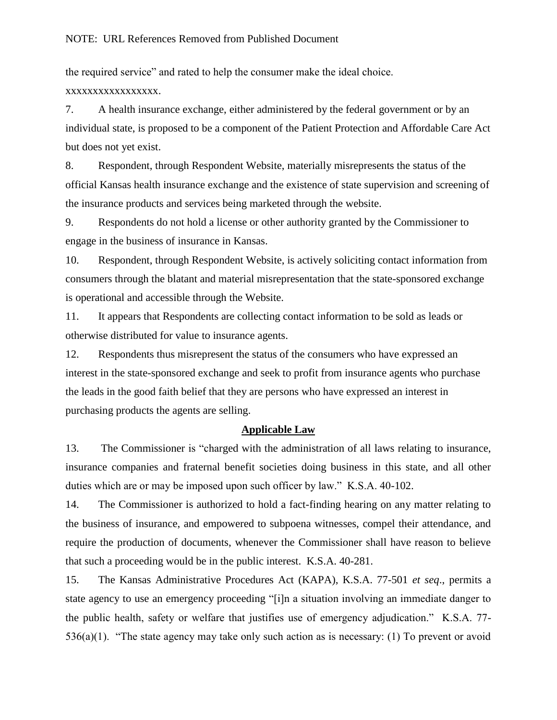the required service" and rated to help the consumer make the ideal choice.

xxxxxxxxxxxxxxxxx.

7. A health insurance exchange, either administered by the federal government or by an individual state, is proposed to be a component of the Patient Protection and Affordable Care Act but does not yet exist.

8. Respondent, through Respondent Website, materially misrepresents the status of the official Kansas health insurance exchange and the existence of state supervision and screening of the insurance products and services being marketed through the website.

9. Respondents do not hold a license or other authority granted by the Commissioner to engage in the business of insurance in Kansas.

10. Respondent, through Respondent Website, is actively soliciting contact information from consumers through the blatant and material misrepresentation that the state-sponsored exchange is operational and accessible through the Website.

11. It appears that Respondents are collecting contact information to be sold as leads or otherwise distributed for value to insurance agents.

12. Respondents thus misrepresent the status of the consumers who have expressed an interest in the state-sponsored exchange and seek to profit from insurance agents who purchase the leads in the good faith belief that they are persons who have expressed an interest in purchasing products the agents are selling.

### **Applicable Law**

13. The Commissioner is "charged with the administration of all laws relating to insurance, insurance companies and fraternal benefit societies doing business in this state, and all other duties which are or may be imposed upon such officer by law." K.S.A. 40-102.

14. The Commissioner is authorized to hold a fact-finding hearing on any matter relating to the business of insurance, and empowered to subpoena witnesses, compel their attendance, and require the production of documents, whenever the Commissioner shall have reason to believe that such a proceeding would be in the public interest. K.S.A. 40-281.

15. The Kansas Administrative Procedures Act (KAPA), K.S.A. 77-501 *et seq*., permits a state agency to use an emergency proceeding "[i]n a situation involving an immediate danger to the public health, safety or welfare that justifies use of emergency adjudication." K.S.A. 77- 536(a)(1). "The state agency may take only such action as is necessary: (1) To prevent or avoid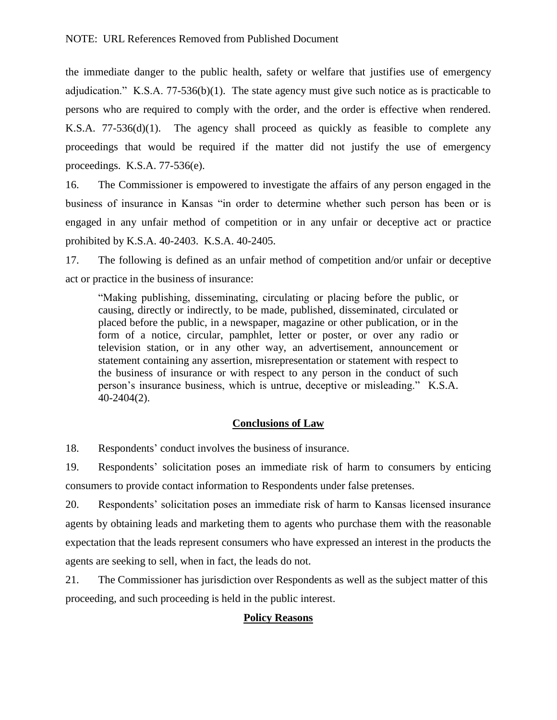the immediate danger to the public health, safety or welfare that justifies use of emergency adjudication." K.S.A. 77-536(b)(1). The state agency must give such notice as is practicable to persons who are required to comply with the order, and the order is effective when rendered. K.S.A. 77-536(d)(1). The agency shall proceed as quickly as feasible to complete any proceedings that would be required if the matter did not justify the use of emergency proceedings. K.S.A. 77-536(e).

16. The Commissioner is empowered to investigate the affairs of any person engaged in the business of insurance in Kansas "in order to determine whether such person has been or is engaged in any unfair method of competition or in any unfair or deceptive act or practice prohibited by K.S.A. 40-2403. K.S.A. 40-2405.

17. The following is defined as an unfair method of competition and/or unfair or deceptive act or practice in the business of insurance:

"Making publishing, disseminating, circulating or placing before the public, or causing, directly or indirectly, to be made, published, disseminated, circulated or placed before the public, in a newspaper, magazine or other publication, or in the form of a notice, circular, pamphlet, letter or poster, or over any radio or television station, or in any other way, an advertisement, announcement or statement containing any assertion, misrepresentation or statement with respect to the business of insurance or with respect to any person in the conduct of such person's insurance business, which is untrue, deceptive or misleading." K.S.A. 40-2404(2).

# **Conclusions of Law**

18. Respondents' conduct involves the business of insurance.

19. Respondents' solicitation poses an immediate risk of harm to consumers by enticing consumers to provide contact information to Respondents under false pretenses.

20. Respondents' solicitation poses an immediate risk of harm to Kansas licensed insurance agents by obtaining leads and marketing them to agents who purchase them with the reasonable expectation that the leads represent consumers who have expressed an interest in the products the agents are seeking to sell, when in fact, the leads do not.

21. The Commissioner has jurisdiction over Respondents as well as the subject matter of this proceeding, and such proceeding is held in the public interest.

### **Policy Reasons**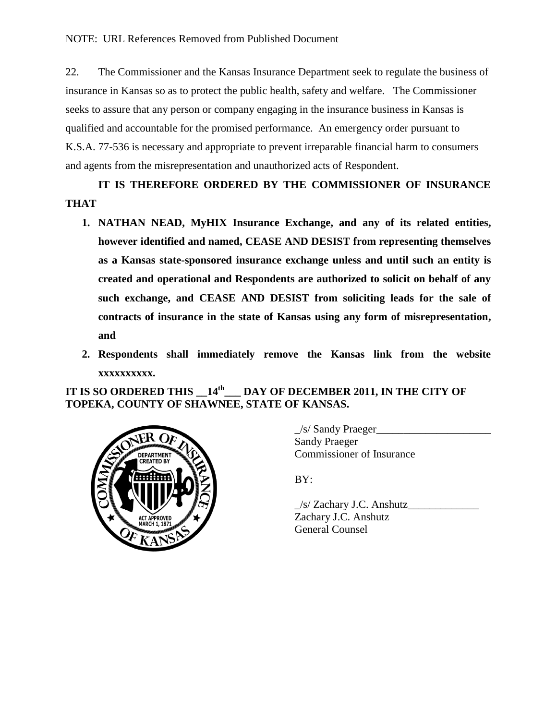22. The Commissioner and the Kansas Insurance Department seek to regulate the business of insurance in Kansas so as to protect the public health, safety and welfare. The Commissioner seeks to assure that any person or company engaging in the insurance business in Kansas is qualified and accountable for the promised performance. An emergency order pursuant to K.S.A. 77-536 is necessary and appropriate to prevent irreparable financial harm to consumers and agents from the misrepresentation and unauthorized acts of Respondent.

**IT IS THEREFORE ORDERED BY THE COMMISSIONER OF INSURANCE THAT** 

- **1. NATHAN NEAD, MyHIX Insurance Exchange, and any of its related entities, however identified and named, CEASE AND DESIST from representing themselves as a Kansas state-sponsored insurance exchange unless and until such an entity is created and operational and Respondents are authorized to solicit on behalf of any such exchange, and CEASE AND DESIST from soliciting leads for the sale of contracts of insurance in the state of Kansas using any form of misrepresentation, and**
- **2. Respondents shall immediately remove the Kansas link from the website xxxxxxxxxx.**

**IT IS SO ORDERED THIS \_\_14th \_\_\_ DAY OF DECEMBER 2011, IN THE CITY OF TOPEKA, COUNTY OF SHAWNEE, STATE OF KANSAS.** 



\_/s/ Sandy Praeger\_\_\_\_\_\_\_\_\_\_\_\_\_\_\_\_\_\_\_\_\_ Sandy Praeger Commissioner of Insurance

BY:

\_/s/ Zachary J.C. Anshutz\_\_\_\_\_\_\_\_\_\_\_\_\_ Zachary J.C. Anshutz General Counsel